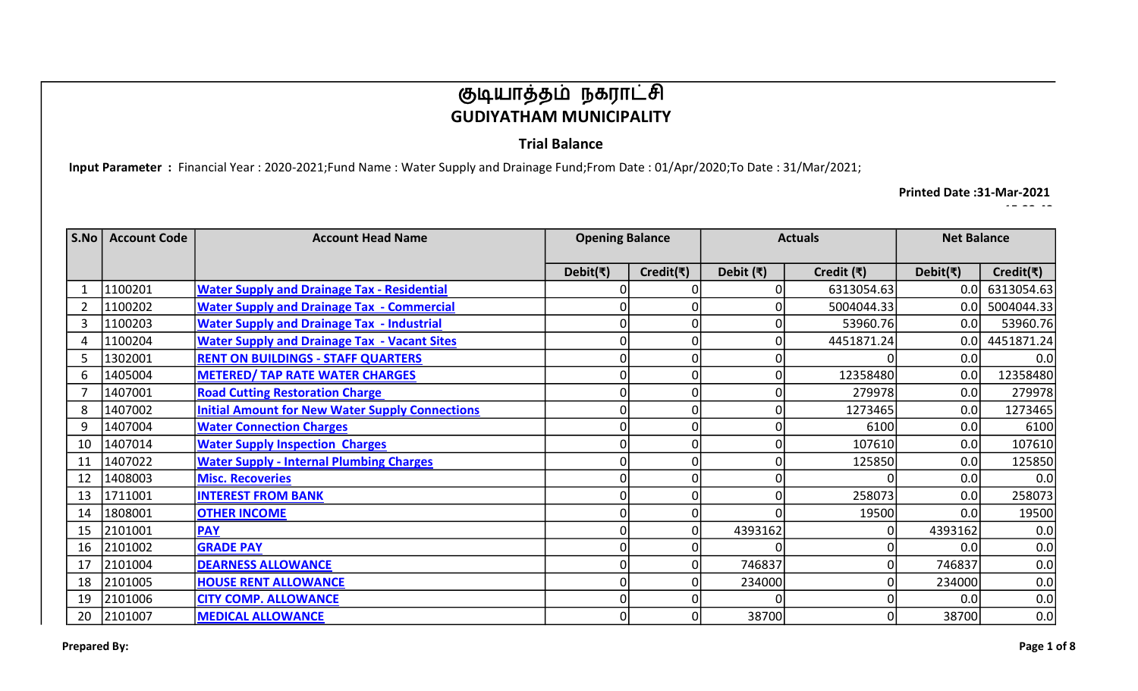### Trial Balance

Input Parameter : Financial Year : 2020-2021;Fund Name : Water Supply and Drainage Fund;From Date : 01/Apr/2020;To Date : 31/Mar/2021;

Printed Date :31-Mar-2021

| S.No | <b>Account Code</b> | <b>Account Head Name</b>                               | <b>Opening Balance</b> |                             | <b>Actuals</b>    |                    | <b>Net Balance</b>         |                             |
|------|---------------------|--------------------------------------------------------|------------------------|-----------------------------|-------------------|--------------------|----------------------------|-----------------------------|
|      |                     |                                                        | Debit(₹)               | Credit( $\overline{\tau}$ ) | Debit $(\bar{x})$ | Credit $(\bar{x})$ | Debit( $\overline{\tau}$ ) | Credit( $\overline{\tau}$ ) |
|      | 1100201             | <b>Water Supply and Drainage Tax - Residential</b>     | 0                      |                             |                   | 6313054.63         | 0.0                        | 6313054.63                  |
|      | 1100202             | <b>Water Supply and Drainage Tax - Commercial</b>      | 0                      |                             |                   | 5004044.33         | 0.0                        | 5004044.33                  |
| 3    | 1100203             | <b>Water Supply and Drainage Tax - Industrial</b>      | 0                      | $\Omega$                    |                   | 53960.76           | 0.0                        | 53960.76                    |
|      | 1100204             | <b>Water Supply and Drainage Tax - Vacant Sites</b>    | 0                      |                             |                   | 4451871.24         | 0.0                        | 4451871.24                  |
|      | 1302001             | <b>RENT ON BUILDINGS - STAFF QUARTERS</b>              | 0                      | $\Omega$                    |                   |                    | 0.0                        | 0.0                         |
| 6    | 1405004             | <b>METERED/ TAP RATE WATER CHARGES</b>                 | 0                      | $\Omega$                    |                   | 12358480           | 0.0                        | 12358480                    |
|      | 1407001             | <b>Road Cutting Restoration Charge</b>                 | 0                      | $\Omega$                    |                   | 279978             | 0.0                        | 279978                      |
| 8    | 1407002             | <b>Initial Amount for New Water Supply Connections</b> | 0                      | $\Omega$                    |                   | 1273465            | 0.0                        | 1273465                     |
| 9    | 1407004             | <b>Water Connection Charges</b>                        | 0                      | $\Omega$                    |                   | 6100               | 0.0                        | 6100                        |
| 10   | 1407014             | <b>Water Supply Inspection Charges</b>                 | 0                      | $\Omega$                    |                   | 107610             | 0.0                        | 107610                      |
| 11   | 1407022             | <b>Water Supply - Internal Plumbing Charges</b>        | 0                      | $\Omega$                    |                   | 125850             | 0.0                        | 125850                      |
| 12   | 1408003             | <b>Misc. Recoveries</b>                                | O                      |                             |                   |                    | 0.0                        | 0.0                         |
| 13   | 1711001             | <b>INTEREST FROM BANK</b>                              | O                      | $\Omega$                    |                   | 258073             | 0.0                        | 258073                      |
| 14   | 1808001             | <b>OTHER INCOME</b>                                    | 0                      | $\Omega$                    |                   | 19500              | 0.0                        | 19500                       |
| 15   | 2101001             | <b>PAY</b>                                             | 0                      | $\Omega$                    | 4393162           |                    | 4393162                    | 0.0                         |
| 16   | 2101002             | <b>GRADE PAY</b>                                       | 0                      |                             |                   |                    | 0.0                        | 0.0                         |
| 17   | 2101004             | <b>DEARNESS ALLOWANCE</b>                              | 0                      |                             | 746837            |                    | 746837                     | 0.0                         |
| 18   | 2101005             | <b>HOUSE RENT ALLOWANCE</b>                            | 0                      |                             | 234000            |                    | 234000                     | 0.0                         |
| 19   | 2101006             | <b>CITY COMP. ALLOWANCE</b>                            | 0                      |                             |                   |                    | 0.0                        | 0.0                         |
| 20   | 2101007             | <b>MEDICAL ALLOWANCE</b>                               | 0                      |                             | 38700             |                    | 38700                      | 0.0                         |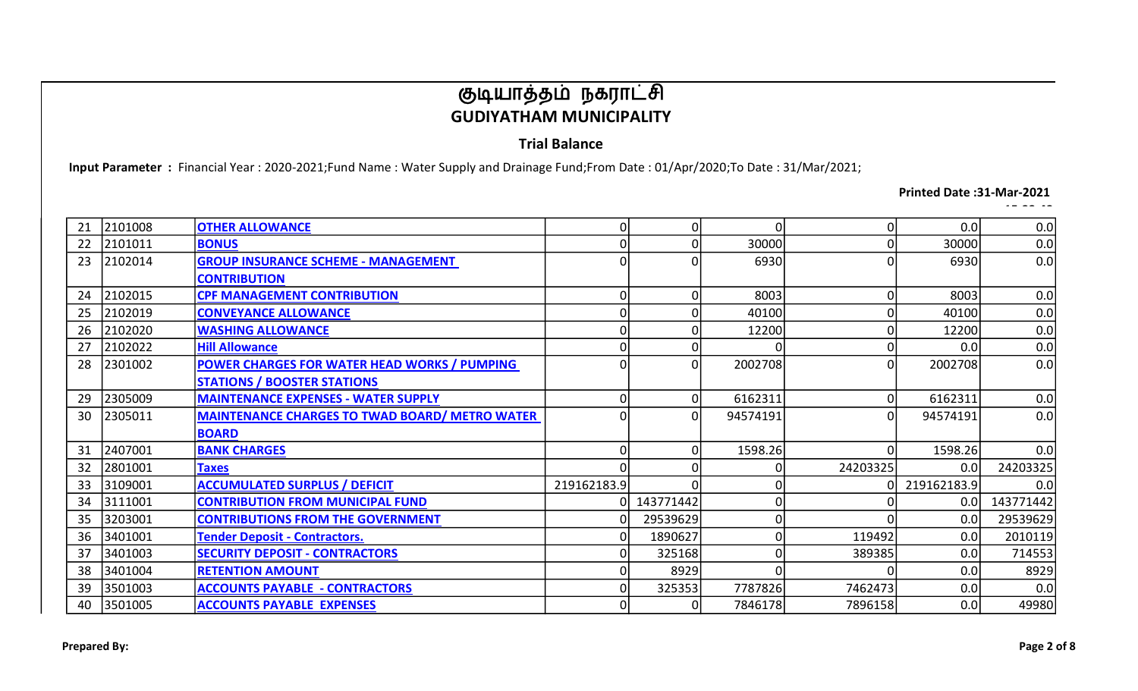### Trial Balance

Input Parameter : Financial Year : 2020-2021;Fund Name : Water Supply and Drainage Fund;From Date : 01/Apr/2020;To Date : 31/Mar/2021;

#### Printed Date :31-Mar-2021

| 21 | 2101008 | <b>OTHER ALLOWANCE</b>                                | $\mathbf 0$ | 0         |          | 01             | 0.0         | 0.0       |
|----|---------|-------------------------------------------------------|-------------|-----------|----------|----------------|-------------|-----------|
| 22 | 2101011 | <b>BONUS</b>                                          | 0           |           | 30000    | $\overline{0}$ | 30000       | 0.0       |
| 23 | 2102014 | <b>GROUP INSURANCE SCHEME - MANAGEMENT</b>            | 0           |           | 6930     | $\Omega$       | 6930        | 0.0       |
|    |         | <b>CONTRIBUTION</b>                                   |             |           |          |                |             |           |
| 24 | 2102015 | <b>CPF MANAGEMENT CONTRIBUTION</b>                    | 0           | ŋ         | 8003     | 01             | 8003        | 0.0       |
| 25 | 2102019 | <b>CONVEYANCE ALLOWANCE</b>                           | 0           |           | 40100    | 0              | 40100       | 0.0       |
| 26 | 2102020 | <b>WASHING ALLOWANCE</b>                              | 0           |           | 12200    | 0              | 12200       | 0.0       |
| 27 | 2102022 | <b>Hill Allowance</b>                                 | 0           |           |          | 01             | 0.0         | 0.0       |
| 28 | 2301002 | POWER CHARGES FOR WATER HEAD WORKS / PUMPING          | 0           | 0         | 2002708  | ΩI             | 2002708     | 0.0       |
|    |         | <b>STATIONS / BOOSTER STATIONS</b>                    |             |           |          |                |             |           |
| 29 | 2305009 | <b>MAINTENANCE EXPENSES - WATER SUPPLY</b>            | 0           | 0         | 6162311  | 01             | 6162311     | 0.0       |
| 30 | 2305011 | <b>MAINTENANCE CHARGES TO TWAD BOARD/ METRO WATER</b> | 0           | ŋ         | 94574191 | Οl             | 94574191    | 0.0       |
|    |         | <b>BOARD</b>                                          |             |           |          |                |             |           |
| 31 | 2407001 | <b>BANK CHARGES</b>                                   | 0           | 0         | 1598.26  | ΩI             | 1598.26     | 0.0       |
| 32 | 2801001 | <b>Taxes</b>                                          |             |           |          | 24203325       | 0.0         | 24203325  |
| 33 | 3109001 | <b>ACCUMULATED SURPLUS / DEFICIT</b>                  | 219162183.9 |           |          |                | 219162183.9 | 0.0       |
| 34 | 3111001 | <b>CONTRIBUTION FROM MUNICIPAL FUND</b>               |             | 143771442 |          |                | 0.0         | 143771442 |
| 35 | 3203001 | <b>CONTRIBUTIONS FROM THE GOVERNMENT</b>              | 0           | 29539629  |          |                | 0.0         | 29539629  |
| 36 | 3401001 | <b>Tender Deposit - Contractors.</b>                  | 0           | 1890627   |          | 119492         | 0.0         | 2010119   |
| 37 | 3401003 | <b>SECURITY DEPOSIT - CONTRACTORS</b>                 | 0           | 325168    |          | 389385         | 0.0         | 714553    |
| 38 | 3401004 | <b>RETENTION AMOUNT</b>                               | 0           | 8929      |          |                | 0.0         | 8929      |
| 39 | 3501003 | <b>ACCOUNTS PAYABLE - CONTRACTORS</b>                 | 0           | 325353    | 7787826  | 7462473        | 0.0         | 0.0       |
| 40 | 3501005 | <b>ACCOUNTS PAYABLE EXPENSES</b>                      | 0           |           | 7846178  | 7896158        | 0.0         | 49980     |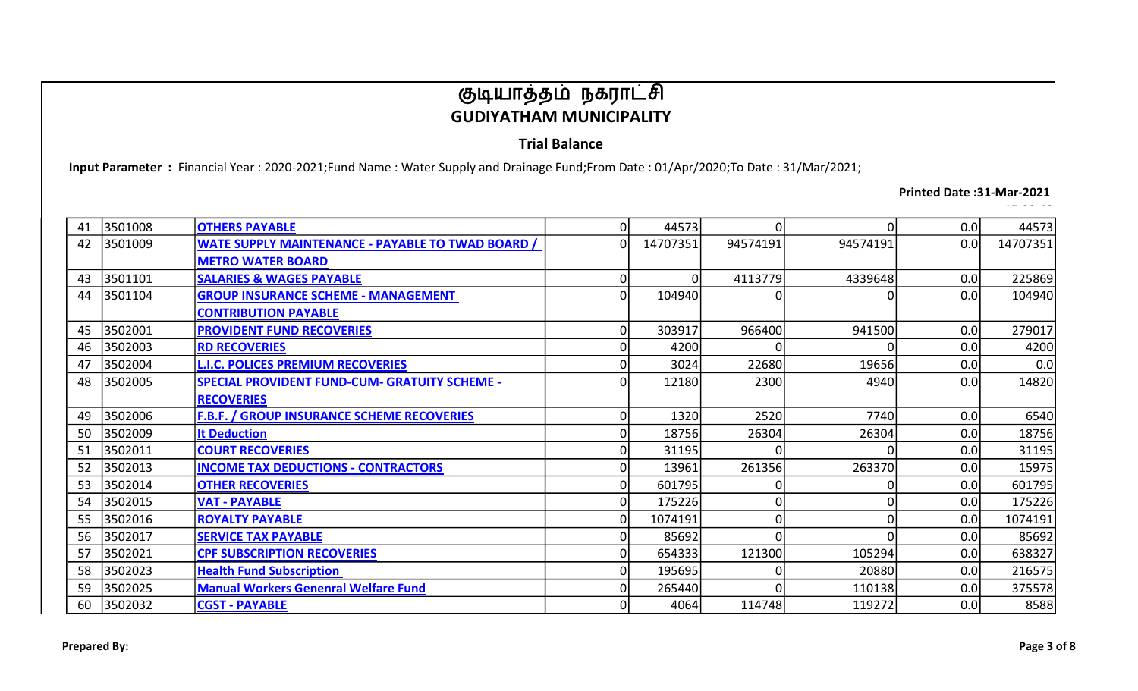### Trial Balance

Input Parameter : Financial Year : 2020-2021;Fund Name : Water Supply and Drainage Fund;From Date : 01/Apr/2020;To Date : 31/Mar/2021;

#### Printed Date :31-Mar-2021

| 41 | 3501008 | <b>OTHERS PAYABLE</b>                                    | 0              | 44573    |          | $\Omega$       | 0.0 | 44573    |
|----|---------|----------------------------------------------------------|----------------|----------|----------|----------------|-----|----------|
| 42 | 3501009 | <b>WATE SUPPLY MAINTENANCE - PAYABLE TO TWAD BOARD /</b> | οl             | 14707351 | 94574191 | 94574191       | 0.0 | 14707351 |
|    |         | <b>METRO WATER BOARD</b>                                 |                |          |          |                |     |          |
| 43 | 3501101 | <b>SALARIES &amp; WAGES PAYABLE</b>                      | 0              | 01       | 4113779  | 4339648        | 0.0 | 225869   |
| 44 | 3501104 | <b>GROUP INSURANCE SCHEME - MANAGEMENT</b>               | οl             | 104940   |          | 0              | 0.0 | 104940   |
|    |         | <b>CONTRIBUTION PAYABLE</b>                              |                |          |          |                |     |          |
| 45 | 3502001 | <b>PROVIDENT FUND RECOVERIES</b>                         | 0l             | 303917   | 966400   | 941500         | 0.0 | 279017   |
| 46 | 3502003 | <b>RD RECOVERIES</b>                                     | $\Omega$       | 4200     |          | n              | 0.0 | 4200     |
| 47 | 3502004 | <b>L.I.C. POLICES PREMIUM RECOVERIES</b>                 | $\Omega$       | 3024     | 22680    | 19656          | 0.0 | 0.0      |
| 48 | 3502005 | <b>SPECIAL PROVIDENT FUND-CUM- GRATUITY SCHEME -</b>     | $\overline{0}$ | 12180    | 2300     | 4940           | 0.0 | 14820    |
|    |         | <b>RECOVERIES</b>                                        |                |          |          |                |     |          |
| 49 | 3502006 | <b>F.B.F. / GROUP INSURANCE SCHEME RECOVERIES</b>        | 0              | 1320     | 2520     | 7740           | 0.0 | 6540     |
| 50 | 3502009 | <b>It Deduction</b>                                      | $\Omega$       | 18756    | 26304    | 26304          | 0.0 | 18756    |
| 51 | 3502011 | <b>COURT RECOVERIES</b>                                  | $\overline{0}$ | 31195    |          | n              | 0.0 | 31195    |
| 52 | 3502013 | <b>INCOME TAX DEDUCTIONS - CONTRACTORS</b>               |                | 13961    | 261356   | 263370         | 0.0 | 15975    |
| 53 | 3502014 | <b>OTHER RECOVERIES</b>                                  | $\overline{0}$ | 601795   |          | O              | 0.0 | 601795   |
| 54 | 3502015 | <b>VAT - PAYABLE</b>                                     | $\Omega$       | 175226   |          | $\overline{0}$ | 0.0 | 175226   |
| 55 | 3502016 | <b>ROYALTY PAYABLE</b>                                   | $\Omega$       | 1074191  |          | $\Omega$       | 0.0 | 1074191  |
| 56 | 3502017 | <b>SERVICE TAX PAYABLE</b>                               | $\Omega$       | 85692    |          | ∩              | 0.0 | 85692    |
| 57 | 3502021 | <b>CPF SUBSCRIPTION RECOVERIES</b>                       | $\overline{0}$ | 654333   | 121300   | 105294         | 0.0 | 638327   |
| 58 | 3502023 | <b>Health Fund Subscription</b>                          | $\Omega$       | 195695   |          | 20880          | 0.0 | 216575   |
| 59 | 3502025 | <b>Manual Workers Genenral Welfare Fund</b>              | $\Omega$       | 265440   |          | 110138         | 0.0 | 375578   |
| 60 | 3502032 | <b>CGST - PAYABLE</b>                                    | $\Omega$       | 4064     | 114748   | 119272         | 0.0 | 8588     |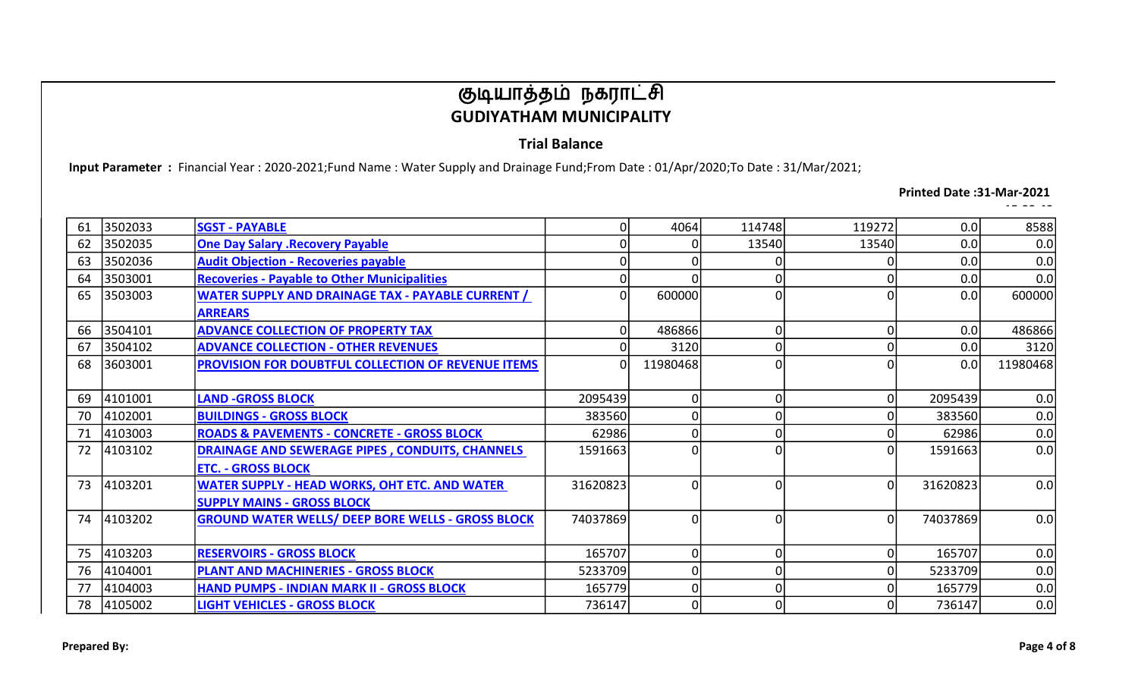### Trial Balance

Input Parameter : Financial Year : 2020-2021;Fund Name : Water Supply and Drainage Fund;From Date : 01/Apr/2020;To Date : 31/Mar/2021;

#### Printed Date :31-Mar-2021

| 61 | 3502033 | <b>SGST - PAYABLE</b>                                     | 0            | 4064     | 114748 | 119272 | 0.0      | 8588     |
|----|---------|-----------------------------------------------------------|--------------|----------|--------|--------|----------|----------|
| 62 | 3502035 | <b>One Day Salary .Recovery Payable</b>                   |              |          | 13540  | 13540  | 0.0      | 0.0      |
| 63 | 3502036 | <b>Audit Objection - Recoveries payable</b>               |              |          |        |        | 0.0      | 0.0      |
| 64 | 3503001 | <b>Recoveries - Payable to Other Municipalities</b>       | 0            |          |        |        | 0.0      | 0.0      |
| 65 | 3503003 | <b>WATER SUPPLY AND DRAINAGE TAX - PAYABLE CURRENT /</b>  | $\Omega$     | 600000   |        |        | 0.0      | 600000   |
|    |         | <b>ARREARS</b>                                            |              |          |        |        |          |          |
| 66 | 3504101 | <b>ADVANCE COLLECTION OF PROPERTY TAX</b>                 | 0            | 486866   |        | 0      | 0.0      | 486866   |
| 67 | 3504102 | <b>ADVANCE COLLECTION - OTHER REVENUES</b>                | <sup>0</sup> | 3120     |        | Οl     | 0.0      | 3120     |
| 68 | 3603001 | <b>PROVISION FOR DOUBTFUL COLLECTION OF REVENUE ITEMS</b> | 0            | 11980468 |        |        | 0.0      | 11980468 |
|    |         |                                                           |              |          |        |        |          |          |
| 69 | 4101001 | <b>LAND -GROSS BLOCK</b>                                  | 2095439      | 0        |        | οI     | 2095439  | 0.0      |
| 70 | 4102001 | <b>BUILDINGS - GROSS BLOCK</b>                            | 383560       | 0        |        |        | 383560   | 0.0      |
| 71 | 4103003 | <b>ROADS &amp; PAVEMENTS - CONCRETE - GROSS BLOCK</b>     | 62986        | 0        |        |        | 62986    | 0.0      |
| 72 | 4103102 | <b>DRAINAGE AND SEWERAGE PIPES, CONDUITS, CHANNELS</b>    | 1591663      | O        |        | Ωl     | 1591663  | 0.0      |
|    |         | <b>ETC. - GROSS BLOCK</b>                                 |              |          |        |        |          |          |
| 73 | 4103201 | <b>WATER SUPPLY - HEAD WORKS, OHT ETC. AND WATER</b>      | 31620823     | O        |        | Οl     | 31620823 | 0.0      |
|    |         | <b>SUPPLY MAINS - GROSS BLOCK</b>                         |              |          |        |        |          |          |
| 74 | 4103202 | <b>GROUND WATER WELLS/ DEEP BORE WELLS - GROSS BLOCK</b>  | 74037869     | $\Omega$ |        | Ωl     | 74037869 | 0.0      |
|    |         |                                                           |              |          |        |        |          |          |
| 75 | 4103203 | <b>RESERVOIRS - GROSS BLOCK</b>                           | 165707       | 0        |        | 01     | 165707   | 0.0      |
| 76 | 4104001 | <b>PLANT AND MACHINERIES - GROSS BLOCK</b>                | 5233709      | 0        |        |        | 5233709  | 0.0      |
| 77 | 4104003 | <b>HAND PUMPS - INDIAN MARK II - GROSS BLOCK</b>          | 165779       | O        |        | ΩI     | 165779   | 0.0      |
| 78 | 4105002 | <b>LIGHT VEHICLES - GROSS BLOCK</b>                       | 736147       | 0        |        | 01     | 736147   | 0.0      |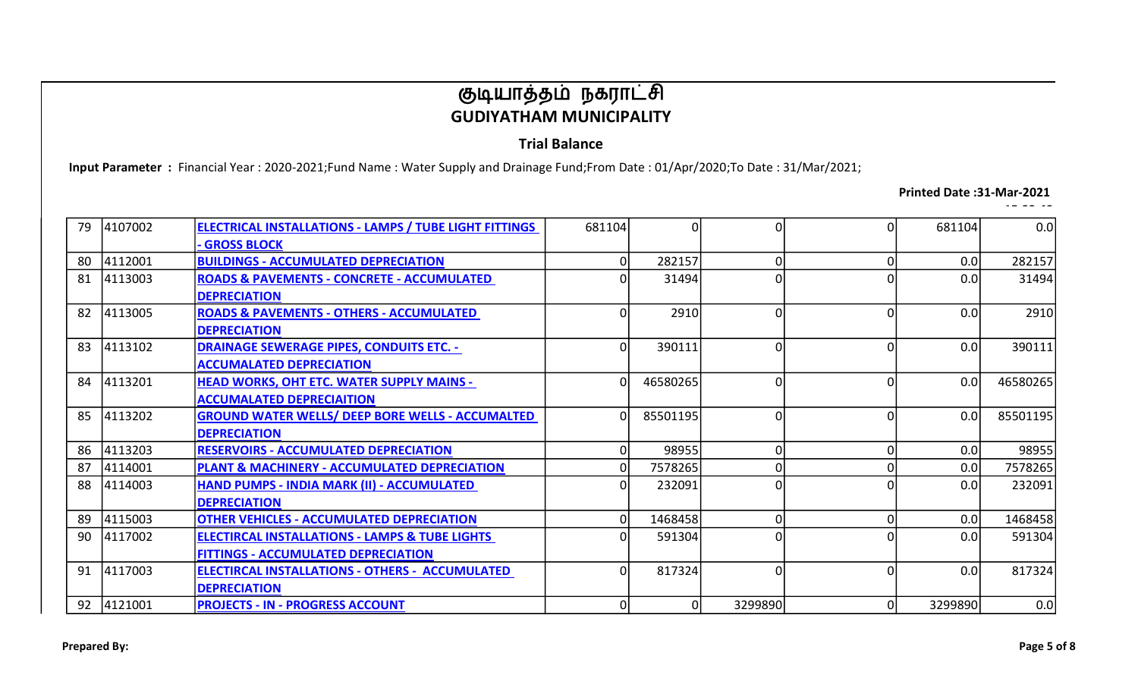### Trial Balance

Input Parameter : Financial Year : 2020-2021;Fund Name : Water Supply and Drainage Fund;From Date : 01/Apr/2020;To Date : 31/Mar/2021;

#### Printed Date :31-Mar-2021

| 79 | 4107002 | <b>ELECTRICAL INSTALLATIONS - LAMPS / TUBE LIGHT FITTINGS</b> | 681104 | 0        | ΩI       | ΩI       | 681104  | 0.0      |
|----|---------|---------------------------------------------------------------|--------|----------|----------|----------|---------|----------|
|    |         | <b>GROSS BLOCK</b>                                            |        |          |          |          |         |          |
| 80 | 4112001 | <b>BUILDINGS - ACCUMULATED DEPRECIATION</b>                   | 0      | 282157   | 01       | 01       | 0.0     | 282157   |
| 81 | 4113003 | <b>ROADS &amp; PAVEMENTS - CONCRETE - ACCUMULATED</b>         |        | 31494    |          |          | 0.0     | 31494    |
|    |         | <b>DEPRECIATION</b>                                           |        |          |          |          |         |          |
| 82 | 4113005 | <b>ROADS &amp; PAVEMENTS - OTHERS - ACCUMULATED</b>           | 0      | 2910     | ΩI       | ΩI       | 0.0     | 2910     |
|    |         | <b>DEPRECIATION</b>                                           |        |          |          |          |         |          |
| 83 | 4113102 | <b>DRAINAGE SEWERAGE PIPES, CONDUITS ETC. -</b>               | 0      | 390111   | ΩI       | 0        | 0.0     | 390111   |
|    |         | <b>ACCUMALATED DEPRECIATION</b>                               |        |          |          |          |         |          |
| 84 | 4113201 | <b>HEAD WORKS, OHT ETC. WATER SUPPLY MAINS -</b>              |        | 46580265 | ΩI       |          | 0.0     | 46580265 |
|    |         | <b>ACCUMALATED DEPRECIAITION</b>                              |        |          |          |          |         |          |
| 85 | 4113202 | <b>GROUND WATER WELLS/ DEEP BORE WELLS - ACCUMALTED</b>       |        | 85501195 | ΩI       |          | 0.0     | 85501195 |
|    |         | <b>DEPRECIATION</b>                                           |        |          |          |          |         |          |
| 86 | 4113203 | <b>RESERVOIRS - ACCUMULATED DEPRECIATION</b>                  | 0      | 98955    | 01       | $\Omega$ | 0.0     | 98955    |
| 87 | 4114001 | PLANT & MACHINERY - ACCUMULATED DEPRECIATION                  | 0      | 7578265  |          |          | 0.0     | 7578265  |
| 88 | 4114003 | HAND PUMPS - INDIA MARK (II) - ACCUMULATED                    | n      | 232091   | n١       |          | 0.0     | 232091   |
|    |         | <b>DEPRECIATION</b>                                           |        |          |          |          |         |          |
| 89 | 4115003 | <b>OTHER VEHICLES - ACCUMULATED DEPRECIATION</b>              | 0      | 1468458  | n١       | $\Omega$ | 0.0     | 1468458  |
| 90 | 4117002 | <b>ELECTIRCAL INSTALLATIONS - LAMPS &amp; TUBE LIGHTS</b>     | ŋ      | 591304   | n١       |          | 0.0     | 591304   |
|    |         | <b>FITTINGS - ACCUMULATED DEPRECIATION</b>                    |        |          |          |          |         |          |
| 91 | 4117003 | <b>ELECTIRCAL INSTALLATIONS - OTHERS - ACCUMULATED</b>        | O      | 817324   | $\Omega$ |          | 0.0     | 817324   |
|    |         | <b>DEPRECIATION</b>                                           |        |          |          |          |         |          |
| 92 | 4121001 | <b>PROJECTS - IN - PROGRESS ACCOUNT</b>                       | 01     |          | 3299890  | Οl       | 3299890 | 0.0      |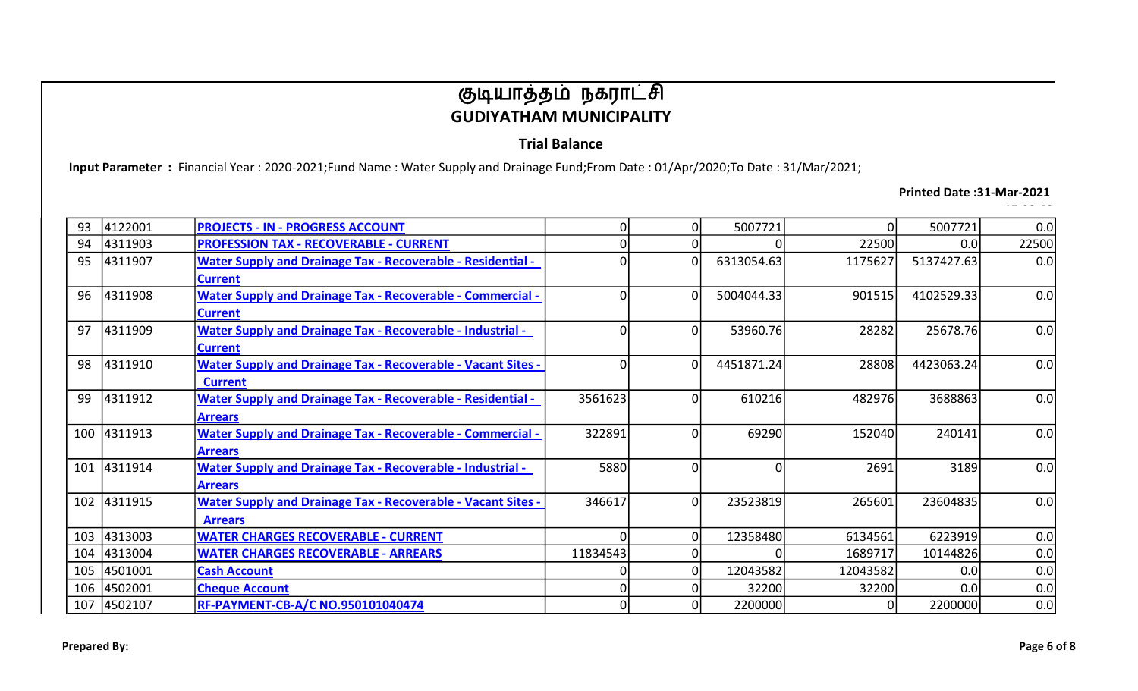### Trial Balance

Input Parameter : Financial Year : 2020-2021;Fund Name : Water Supply and Drainage Fund;From Date : 01/Apr/2020;To Date : 31/Mar/2021;

#### Printed Date :31-Mar-2021

| 93  | 4122001     | <b>PROJECTS - IN - PROGRESS ACCOUNT</b>                             | 0        |          | 5007721    | ΩI       | 5007721    | 0.0   |
|-----|-------------|---------------------------------------------------------------------|----------|----------|------------|----------|------------|-------|
| 94  | 4311903     | <b>PROFESSION TAX - RECOVERABLE - CURRENT</b>                       | 0        |          |            | 22500    | 0.0        | 22500 |
| 95  | 4311907     | <b>Water Supply and Drainage Tax - Recoverable - Residential -</b>  | $\Omega$ | $\Omega$ | 6313054.63 | 1175627  | 5137427.63 | 0.0   |
|     |             | <b>Current</b>                                                      |          |          |            |          |            |       |
| 96  | 4311908     | <b>Water Supply and Drainage Tax - Recoverable - Commercial -</b>   | 0        | $\Omega$ | 5004044.33 | 901515   | 4102529.33 | 0.0   |
|     |             | <b>Current</b>                                                      |          |          |            |          |            |       |
| 97  | 4311909     | <b>Water Supply and Drainage Tax - Recoverable - Industrial -</b>   | 0        | 0        | 53960.76   | 28282    | 25678.76   | 0.0   |
|     |             | <b>Current</b>                                                      |          |          |            |          |            |       |
| 98  | 4311910     | <b>Water Supply and Drainage Tax - Recoverable - Vacant Sites -</b> | $\Omega$ | $\Omega$ | 4451871.24 | 28808    | 4423063.24 | 0.0   |
|     |             | <b>Current</b>                                                      |          |          |            |          |            |       |
| 99  | 4311912     | <b>Water Supply and Drainage Tax - Recoverable - Residential -</b>  | 3561623  | $\Omega$ | 610216     | 482976   | 3688863    | 0.0   |
|     |             | <b>Arrears</b>                                                      |          |          |            |          |            |       |
|     | 100 4311913 | <b>Water Supply and Drainage Tax - Recoverable - Commercial -</b>   | 322891   | 0        | 69290      | 152040   | 240141     | 0.0   |
|     |             | <b>Arrears</b>                                                      |          |          |            |          |            |       |
|     | 101 4311914 | <b>Water Supply and Drainage Tax - Recoverable - Industrial -</b>   | 5880     | $\Omega$ | ΩI         | 2691     | 3189       | 0.0   |
|     |             | <b>Arrears</b>                                                      |          |          |            |          |            |       |
|     | 102 4311915 | <b>Water Supply and Drainage Tax - Recoverable - Vacant Sites -</b> | 346617   | $\Omega$ | 23523819   | 265601   | 23604835   | 0.0   |
|     |             | <b>Arrears</b>                                                      |          |          |            |          |            |       |
| 103 | 4313003     | <b>WATER CHARGES RECOVERABLE - CURRENT</b>                          | $\Omega$ | n        | 12358480   | 6134561  | 6223919    | 0.0   |
| 104 | 4313004     | <b>WATER CHARGES RECOVERABLE - ARREARS</b>                          | 11834543 |          |            | 1689717  | 10144826   | 0.0   |
| 105 | 4501001     | <b>Cash Account</b>                                                 | 0        |          | 12043582   | 12043582 | 0.0        | 0.0   |
| 106 | 4502001     | <b>Cheque Account</b>                                               | 0        |          | 32200      | 32200    | 0.0        | 0.0   |
| 107 | 4502107     | RF-PAYMENT-CB-A/C NO.950101040474                                   | 0        |          | 2200000    |          | 2200000    | 0.0   |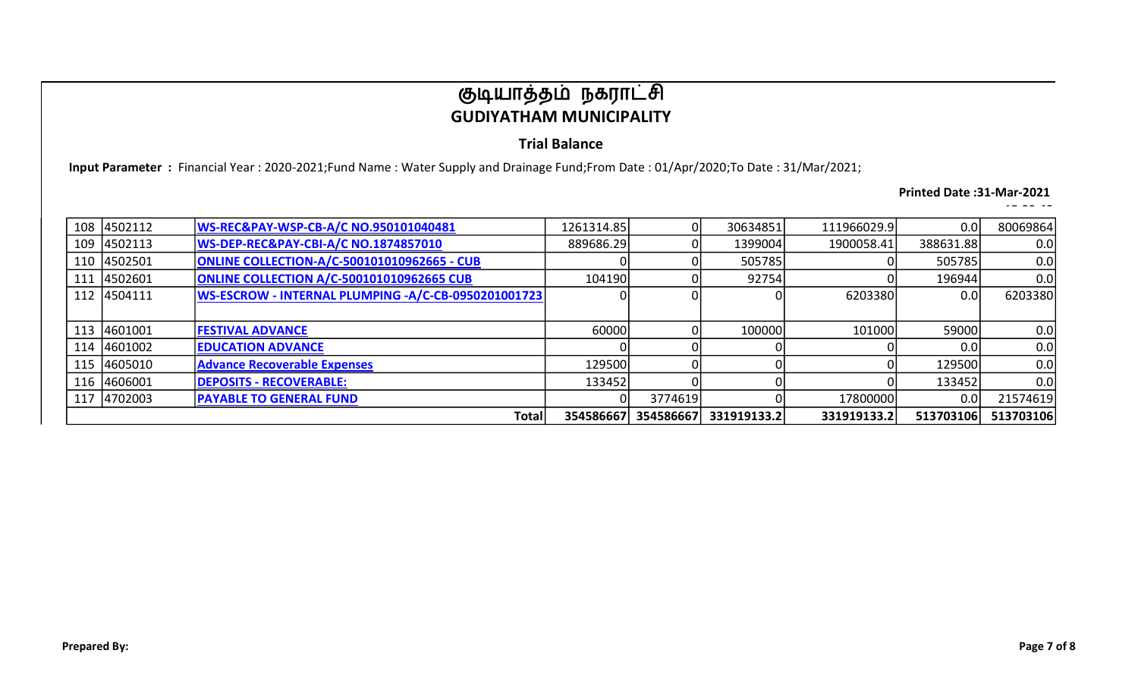### Trial Balance

Input Parameter : Financial Year : 2020-2021;Fund Name : Water Supply and Drainage Fund;From Date : 01/Apr/2020;To Date : 31/Mar/2021;

#### Printed Date :31-Mar-2021

| 108 | 4502112     | WS-REC&PAY-WSP-CB-A/C NO.950101040481               | 1261314.85 |           | 30634851    | 111966029.9 | 0.0       | 80069864  |
|-----|-------------|-----------------------------------------------------|------------|-----------|-------------|-------------|-----------|-----------|
| 109 | 4502113     | WS-DEP-REC&PAY-CBI-A/C NO.1874857010                | 889686.29  |           | 1399004     | 1900058.41  | 388631.88 | 0.0       |
| 110 | 4502501     | <b>ONLINE COLLECTION-A/C-500101010962665 - CUB</b>  |            |           | 505785      |             | 505785    | 0.0       |
| 111 | 4502601     | <b>ONLINE COLLECTION A/C-500101010962665 CUB</b>    | 104190     |           | 92754       |             | 196944    | 0.0       |
|     | 112 4504111 | WS-ESCROW - INTERNAL PLUMPING -A/C-CB-0950201001723 |            |           | ΩI          | 6203380     | 0.0       | 6203380   |
|     |             |                                                     |            |           |             |             |           |           |
| 113 | 4601001     | <b>FESTIVAL ADVANCE</b>                             | 60000      |           | 100000      | 101000      | 59000     | 0.0       |
| 114 | 4601002     | <b>EDUCATION ADVANCE</b>                            |            |           |             |             | 0.0       | 0.0       |
| 115 | 4605010     | <b>Advance Recoverable Expenses</b>                 | 129500     |           |             | ΩI          | 129500    | 0.0       |
| 116 | 4606001     | <b>DEPOSITS - RECOVERABLE:</b>                      | 133452     |           | ΩI          |             | 133452    | 0.0       |
| 117 | 4702003     | <b>PAYABLE TO GENERAL FUND</b>                      |            | 3774619   | ΩI          | 17800000    | 0.0       | 21574619  |
|     |             | Total                                               | 354586667  | 354586667 | 331919133.2 | 331919133.2 | 513703106 | 513703106 |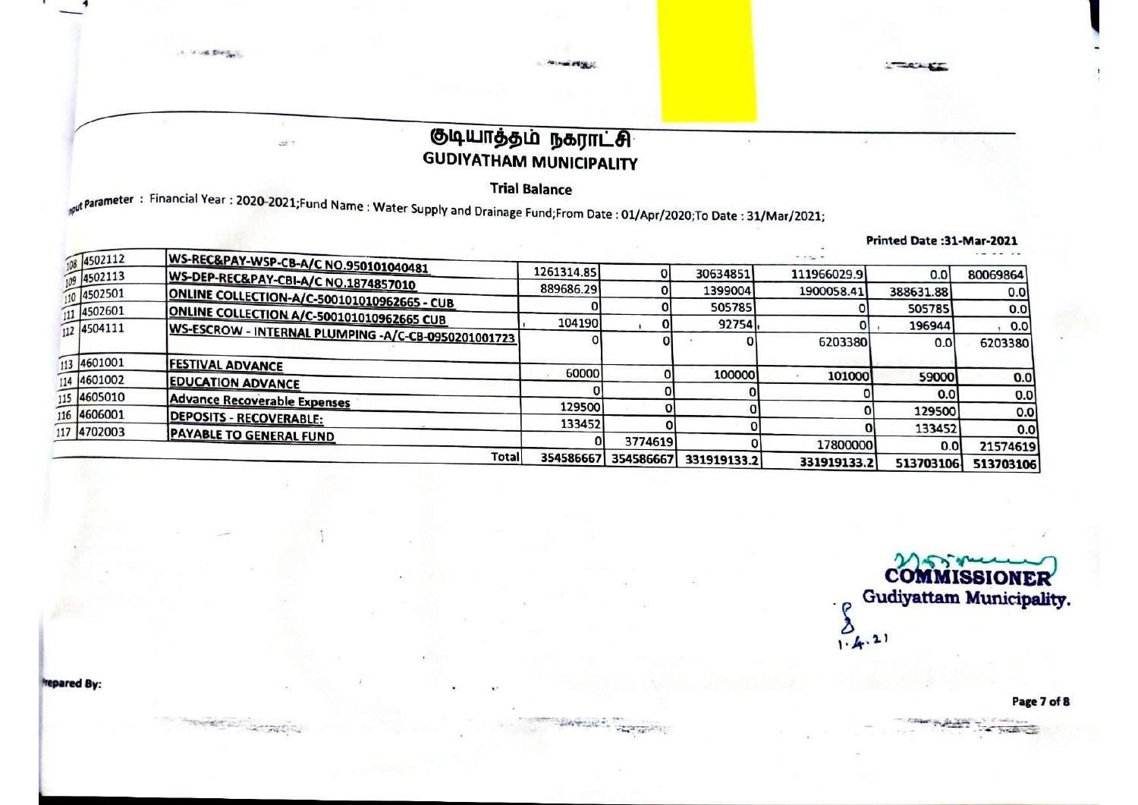**Trial Balance** 

parameter: Financial Year: 2020-2021;Fund Name: Water Supply and Drainage Fund;From Date: 01/Apr/2020;To Date: 31/Mar/2021;

|                    |                                                     |            |           |             |              | Printed Date:31-Mar-2021 |           |
|--------------------|-----------------------------------------------------|------------|-----------|-------------|--------------|--------------------------|-----------|
| 108 4502112        | WS-REC&PAY-WSP-CB-A/C NO.950101040481               |            |           |             | $+1.4 - 1.4$ |                          |           |
| $\sqrt{9}$ 4502113 | WS-DEP-REC&PAY-CBI-A/C NO.1874857010                | 1261314.85 |           | 30634851    | 111966029.9  | 0.0                      | 80069864  |
| 10 4502501         |                                                     | 889686.29  |           | 1399004     | 1900058.41   | 388631.88                | 0.0       |
| 4502601            | <b>ONLINE COLLECTION-A/C-500101010962665 - CUB</b>  |            |           | 505785      |              | 505785                   | 0.0       |
| 112 4504111        | ONLINE COLLECTION A/C-500101010962665 CUB           | 104190     |           | 92754       |              | 196944                   | 0.0       |
|                    | WS-ESCROW - INTERNAL PLUMPING -A/C-CB-0950201001723 |            |           |             | 6203380      | 0.0                      | 6203380   |
| 113 4601001        | <b>FESTIVAL ADVANCE</b>                             |            |           |             |              |                          |           |
| 114 4601002        | <b>EDUCATION ADVANCE</b>                            | 60000      |           | 100000      | 101000       | 59000                    | 0.0       |
| 115 4605010        | <b>Advance Recoverable Expenses</b>                 |            |           |             |              | 0.0                      | 0.0       |
| 116 4606001        | <b>DEPOSITS - RECOVERABLE:</b>                      | 129500     |           |             |              | 129500                   | 0.0       |
| 117 4702003        | <b>PAYABLE TO GENERAL FUND</b>                      | 133452     |           |             |              | 133452                   | 0.0       |
|                    |                                                     |            | 3774619   |             | 17800000     | 0.0                      | 21574619  |
|                    | Total                                               | 354586667  | 354586667 | 331919133.2 | 331919133.2  | 513703106                | 513703106 |

**COMMISSIONER** Gudiyattam Municipality.  $\sum_{1\cdot 4^{(2)}}$ 

Page 7 of 8

**CAUSE** 

**trepared By:** 

A MAIL DIRECTOR

Y,

 $\mathcal{B}^{(i)}$ 

*<i><u>ANTERNATION</u>*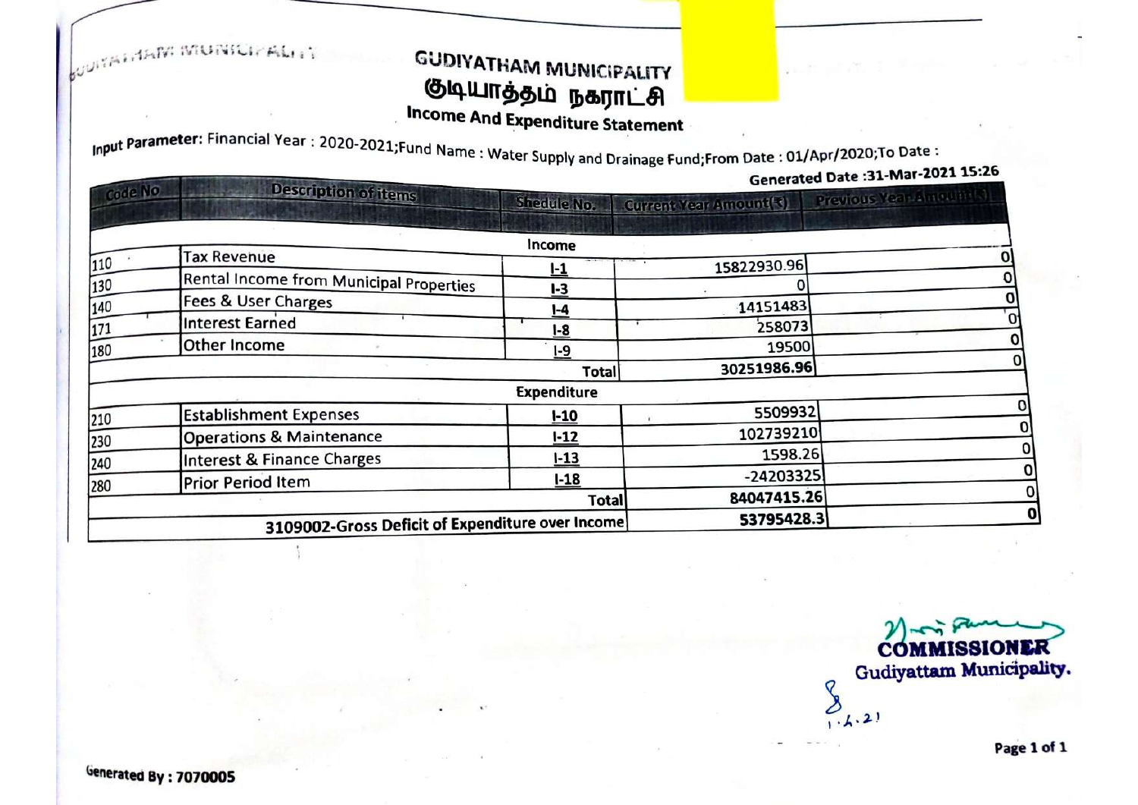**SOUTATION MUNICIPALITY** 

# **GUDIYATHAM MUNICIPALITY** குடியாத்தம் நகராட்சி

**Income And Expenditure Statement** 

Input Parameter: Financial Year: 2020-2021; Fund Name: Water Supply and Drainage Fund; From Date: 01/Apr/2020; To Date:

| Generated Date : 31-Mar-2021 15:26 | $ \mathsf{P}$ $\mathsf{P}$ and brandge rand, rom better |                    |                                                  |         |  |
|------------------------------------|---------------------------------------------------------|--------------------|--------------------------------------------------|---------|--|
| Previous Year Amount (2)           | <b>Current Year Amount(3)</b>                           | <b>Shedule No.</b> | <b>Description of items</b>                      | Code No |  |
|                                    |                                                         | Income             |                                                  |         |  |
|                                    | 15822930.96                                             | <u> -1</u>         | <b>Tax Revenue</b>                               | 110     |  |
|                                    |                                                         | L <sub>3</sub>     | Rental Income from Municipal Properties          | 130     |  |
|                                    | 14151483                                                | $I - 4$            | Fees & User Charges                              | 140     |  |
|                                    | 258073                                                  | $1-8$              | Interest Earned                                  | 171     |  |
|                                    | 19500                                                   | $1-9$              | Other Income                                     | 180     |  |
|                                    | 30251986.96                                             | Total              |                                                  |         |  |
|                                    |                                                         | <b>Expenditure</b> |                                                  |         |  |
|                                    | 5509932                                                 | $1 - 10$           | <b>Establishment Expenses</b>                    | 210     |  |
|                                    | 102739210                                               | $1 - 12$           | <b>Operations &amp; Maintenance</b>              | 230     |  |
|                                    | 1598.26                                                 | $1 - 13$           | Interest & Finance Charges                       | 240     |  |
|                                    | $-24203325$                                             | $1 - 18$           | <b>Prior Period Item</b>                         |         |  |
|                                    | 84047415.26                                             | Total              |                                                  | 280     |  |
|                                    | 53795428.3                                              |                    | 3109002-Gross Deficit of Expenditure over Income |         |  |

**COMMISSIONER** Gudiyattam Municipality.  $\overline{Q}$  $0, 2, 2$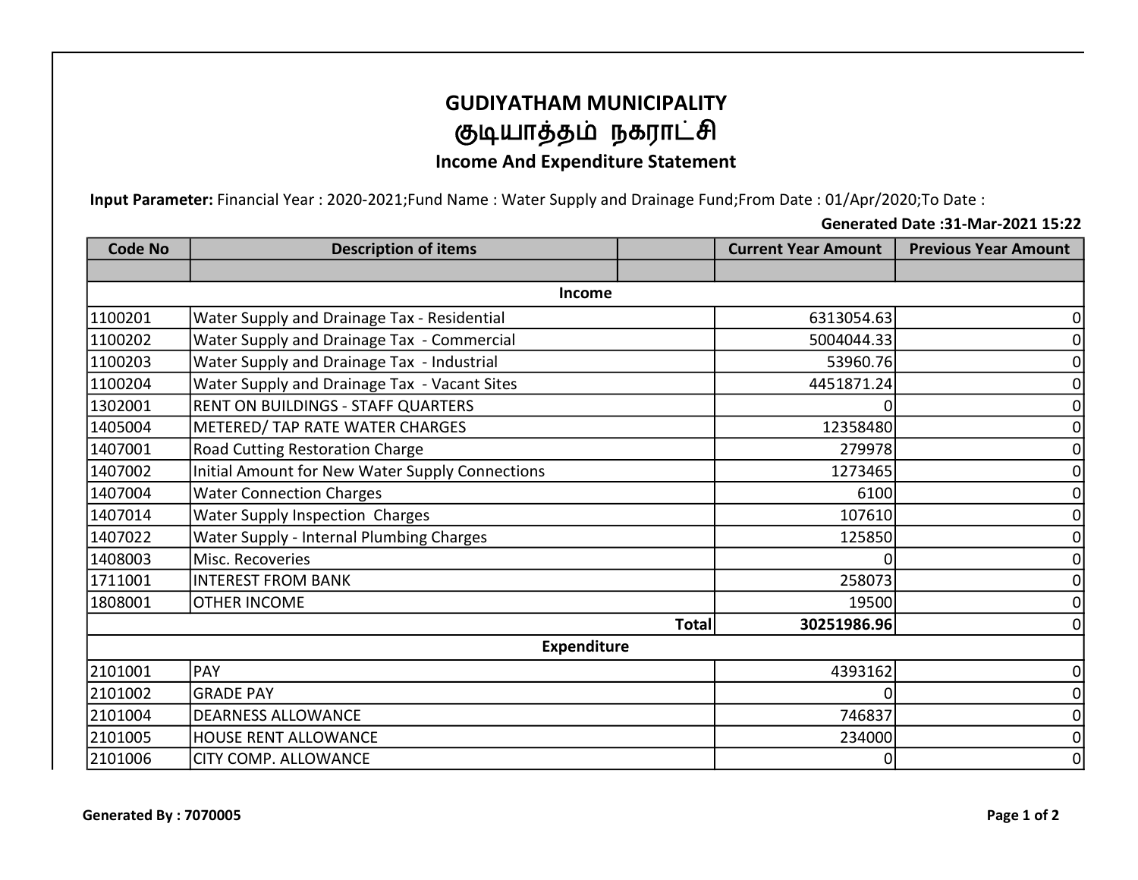# GUDIYATHAM MUNICIPALITY குடியாத்தம் நகராட்சி

### Income And Expenditure Statement

Input Parameter: Financial Year : 2020-2021;Fund Name : Water Supply and Drainage Fund;From Date : 01/Apr/2020;To Date :

31/Mar/2021; Generated Date :31-Mar-2021 15:22

| <b>Code No</b> | <b>Description of items</b>                     |              | <b>Current Year Amount</b> | <b>Previous Year Amount</b> |
|----------------|-------------------------------------------------|--------------|----------------------------|-----------------------------|
|                |                                                 |              |                            |                             |
|                | Income                                          |              |                            |                             |
| 1100201        | Water Supply and Drainage Tax - Residential     |              | 6313054.63                 |                             |
| 1100202        | Water Supply and Drainage Tax - Commercial      |              | 5004044.33                 |                             |
| 1100203        | Water Supply and Drainage Tax - Industrial      |              | 53960.76                   |                             |
| 1100204        | Water Supply and Drainage Tax - Vacant Sites    |              | 4451871.24                 |                             |
| 1302001        | RENT ON BUILDINGS - STAFF QUARTERS              |              |                            |                             |
| 1405004        | METERED/ TAP RATE WATER CHARGES                 |              | 12358480                   |                             |
| 1407001        | Road Cutting Restoration Charge                 |              | 279978                     | 0                           |
| 1407002        | Initial Amount for New Water Supply Connections |              | 1273465                    | 0                           |
| 1407004        | <b>Water Connection Charges</b>                 |              | 6100                       | 0                           |
| 1407014        | Water Supply Inspection Charges                 |              | 107610                     | 0                           |
| 1407022        | Water Supply - Internal Plumbing Charges        |              | 125850                     |                             |
| 1408003        | Misc. Recoveries                                |              |                            |                             |
| 1711001        | <b>INTEREST FROM BANK</b>                       |              | 258073                     |                             |
| 1808001        | <b>OTHER INCOME</b>                             |              | 19500                      |                             |
|                |                                                 | <b>Total</b> | 30251986.96                |                             |
|                | <b>Expenditure</b>                              |              |                            |                             |
| 2101001        | PAY                                             |              | 4393162                    | 0                           |
| 2101002        | <b>GRADE PAY</b>                                |              | 0                          | 0                           |
| 2101004        | <b>DEARNESS ALLOWANCE</b>                       |              | 746837                     | 0                           |
| 2101005        | <b>HOUSE RENT ALLOWANCE</b>                     |              | 234000                     | 0                           |
| 2101006        | <b>CITY COMP. ALLOWANCE</b>                     |              | 0                          | 0                           |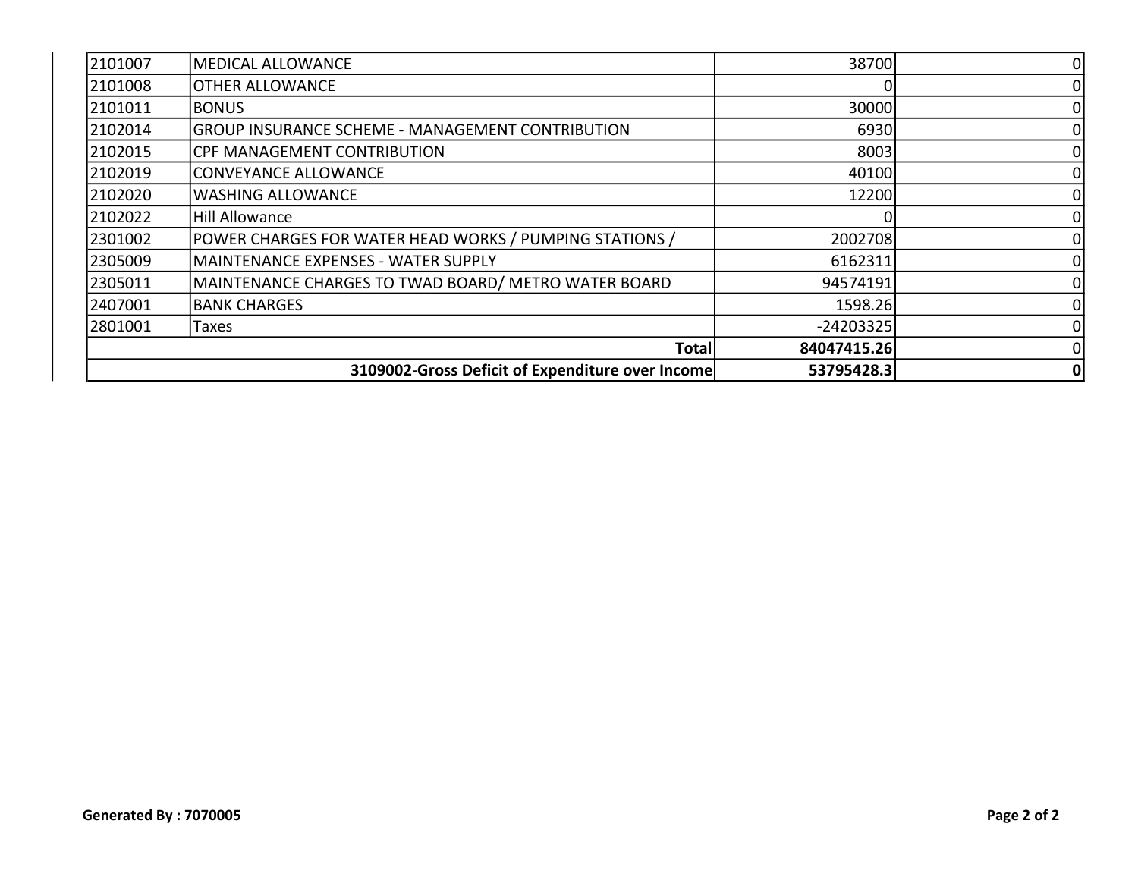| 2101007 | MEDICAL ALLOWANCE                                       | 38700       |  |
|---------|---------------------------------------------------------|-------------|--|
| 2101008 | <b>OTHER ALLOWANCE</b>                                  |             |  |
| 2101011 | <b>BONUS</b>                                            | 30000       |  |
| 2102014 | <b>GROUP INSURANCE SCHEME - MANAGEMENT CONTRIBUTION</b> | 6930        |  |
| 2102015 | <b>CPF MANAGEMENT CONTRIBUTION</b>                      | 8003        |  |
| 2102019 | CONVEYANCE ALLOWANCE                                    | 40100       |  |
| 2102020 | <b>WASHING ALLOWANCE</b>                                | 12200       |  |
| 2102022 | <b>Hill Allowance</b>                                   |             |  |
| 2301002 | POWER CHARGES FOR WATER HEAD WORKS / PUMPING STATIONS / | 2002708     |  |
| 2305009 | MAINTENANCE EXPENSES - WATER SUPPLY                     | 6162311     |  |
| 2305011 | MAINTENANCE CHARGES TO TWAD BOARD/ METRO WATER BOARD    | 94574191    |  |
| 2407001 | <b>BANK CHARGES</b>                                     | 1598.26     |  |
| 2801001 | Taxes                                                   | $-24203325$ |  |
|         | Total                                                   | 84047415.26 |  |
|         | 3109002-Gross Deficit of Expenditure over Income        | 53795428.3  |  |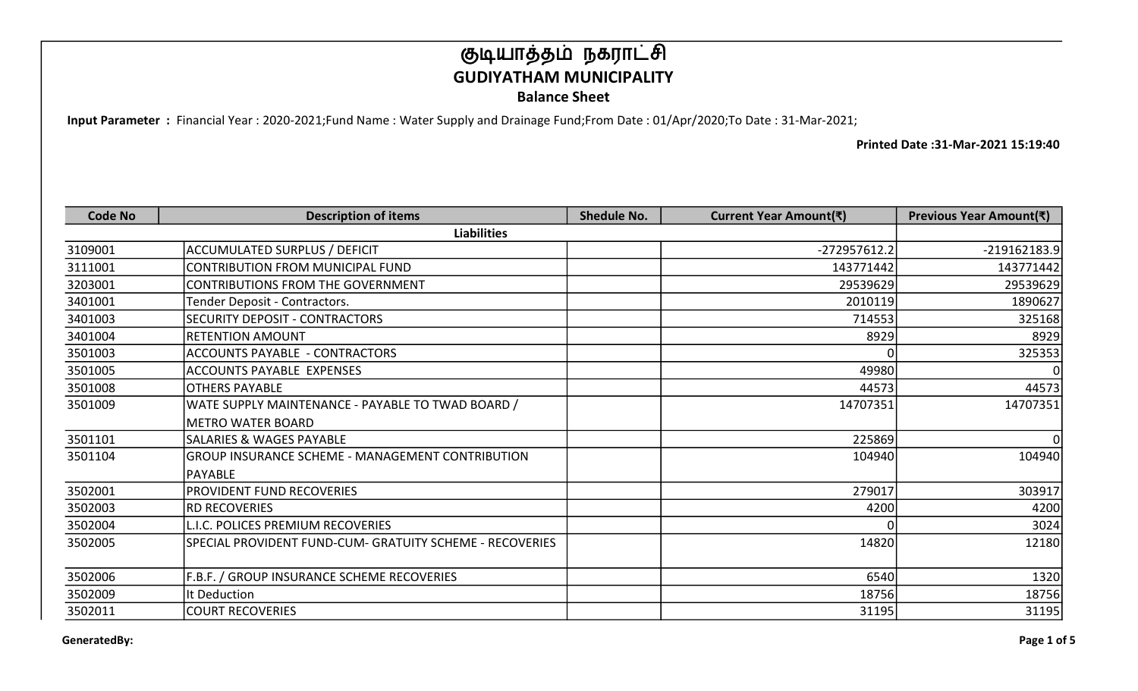Input Parameter : Financial Year : 2020-2021;Fund Name : Water Supply and Drainage Fund;From Date : 01/Apr/2020;To Date : 31-Mar-2021;

| <b>Code No</b> | <b>Description of items</b>                              | <b>Shedule No.</b> | Current Year Amount(₹) | Previous Year Amount(₹) |
|----------------|----------------------------------------------------------|--------------------|------------------------|-------------------------|
|                | <b>Liabilities</b>                                       |                    |                        |                         |
| 3109001        | <b>ACCUMULATED SURPLUS / DEFICIT</b>                     |                    | -272957612.2           | $-219162183.9$          |
| 3111001        | <b>CONTRIBUTION FROM MUNICIPAL FUND</b>                  |                    | 143771442              | 143771442               |
| 3203001        | CONTRIBUTIONS FROM THE GOVERNMENT                        |                    | 29539629               | 29539629                |
| 3401001        | Tender Deposit - Contractors.                            |                    | 2010119                | 1890627                 |
| 3401003        | SECURITY DEPOSIT - CONTRACTORS                           |                    | 714553                 | 325168                  |
| 3401004        | <b>RETENTION AMOUNT</b>                                  |                    | 8929                   | 8929                    |
| 3501003        | <b>ACCOUNTS PAYABLE - CONTRACTORS</b>                    |                    |                        | 325353                  |
| 3501005        | <b>ACCOUNTS PAYABLE EXPENSES</b>                         |                    | 49980                  | <sup>0</sup>            |
| 3501008        | <b>OTHERS PAYABLE</b>                                    |                    | 44573                  | 44573                   |
| 3501009        | WATE SUPPLY MAINTENANCE - PAYABLE TO TWAD BOARD /        |                    | 14707351               | 14707351                |
|                | <b>METRO WATER BOARD</b>                                 |                    |                        |                         |
| 3501101        | SALARIES & WAGES PAYABLE                                 |                    | 225869                 | Οl                      |
| 3501104        | GROUP INSURANCE SCHEME - MANAGEMENT CONTRIBUTION         |                    | 104940                 | 104940                  |
|                | <b>PAYABLE</b>                                           |                    |                        |                         |
| 3502001        | <b>PROVIDENT FUND RECOVERIES</b>                         |                    | 279017                 | 303917                  |
| 3502003        | <b>IRD RECOVERIES</b>                                    |                    | 4200                   | 4200                    |
| 3502004        | L.I.C. POLICES PREMIUM RECOVERIES                        |                    |                        | 3024                    |
| 3502005        | SPECIAL PROVIDENT FUND-CUM- GRATUITY SCHEME - RECOVERIES |                    | 14820                  | 12180                   |
|                |                                                          |                    |                        |                         |
| 3502006        | F.B.F. / GROUP INSURANCE SCHEME RECOVERIES               |                    | 6540                   | 1320                    |
| 3502009        | It Deduction                                             |                    | 18756                  | 18756                   |
| 3502011        | <b>COURT RECOVERIES</b>                                  |                    | 31195                  | 31195                   |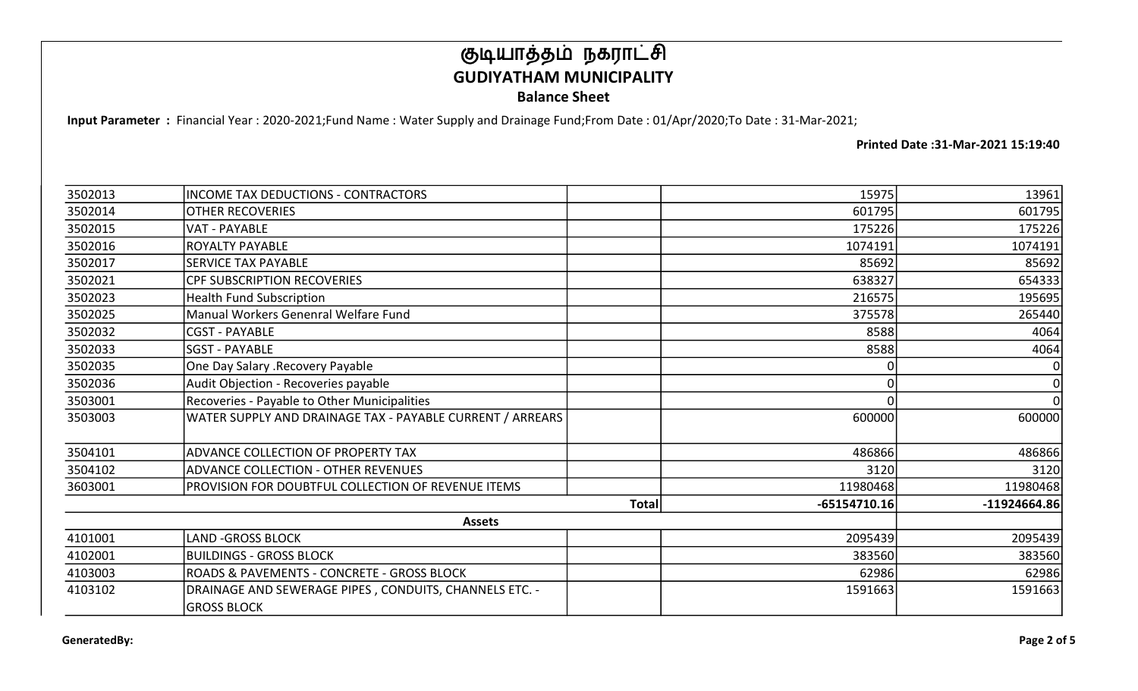Input Parameter : Financial Year : 2020-2021;Fund Name : Water Supply and Drainage Fund;From Date : 01/Apr/2020;To Date : 31-Mar-2021;

| 3502013 | <b>INCOME TAX DEDUCTIONS - CONTRACTORS</b>                |              | 15975          | 13961          |
|---------|-----------------------------------------------------------|--------------|----------------|----------------|
| 3502014 | <b>OTHER RECOVERIES</b>                                   |              | 601795         | 601795         |
| 3502015 | <b>VAT - PAYABLE</b>                                      |              | 175226         | 175226         |
| 3502016 | <b>ROYALTY PAYABLE</b>                                    |              | 1074191        | 1074191        |
| 3502017 | <b>SERVICE TAX PAYABLE</b>                                |              | 85692          | 85692          |
| 3502021 | <b>CPF SUBSCRIPTION RECOVERIES</b>                        |              | 638327         | 654333         |
| 3502023 | <b>Health Fund Subscription</b>                           |              | 216575         | 195695         |
| 3502025 | Manual Workers Genenral Welfare Fund                      |              | 375578         | 265440         |
| 3502032 | <b>CGST - PAYABLE</b>                                     |              | 8588           | 4064           |
| 3502033 | <b>SGST - PAYABLE</b>                                     |              | 8588           | 4064           |
| 3502035 | One Day Salary .Recovery Payable                          |              |                |                |
| 3502036 | Audit Objection - Recoveries payable                      |              |                | $\mathbf 0$    |
| 3503001 | Recoveries - Payable to Other Municipalities              |              |                | $\overline{0}$ |
| 3503003 | WATER SUPPLY AND DRAINAGE TAX - PAYABLE CURRENT / ARREARS |              | 600000         | 600000         |
| 3504101 | ADVANCE COLLECTION OF PROPERTY TAX                        |              | 486866         | 486866         |
| 3504102 | <b>ADVANCE COLLECTION - OTHER REVENUES</b>                |              | 3120           | 3120           |
| 3603001 | PROVISION FOR DOUBTFUL COLLECTION OF REVENUE ITEMS        |              | 11980468       | 11980468       |
|         |                                                           | <b>Total</b> | $-65154710.16$ | $-11924664.86$ |
|         | <b>Assets</b>                                             |              |                |                |
| 4101001 | <b>LAND -GROSS BLOCK</b>                                  |              | 2095439        | 2095439        |
| 4102001 | BUILDINGS - GROSS BLOCK                                   |              | 383560         | 383560         |
| 4103003 | <b>ROADS &amp; PAVEMENTS - CONCRETE - GROSS BLOCK</b>     |              | 62986          | 62986          |
| 4103102 | DRAINAGE AND SEWERAGE PIPES, CONDUITS, CHANNELS ETC. -    |              | 1591663        | 1591663        |
|         | <b>GROSS BLOCK</b>                                        |              |                |                |
|         |                                                           |              |                |                |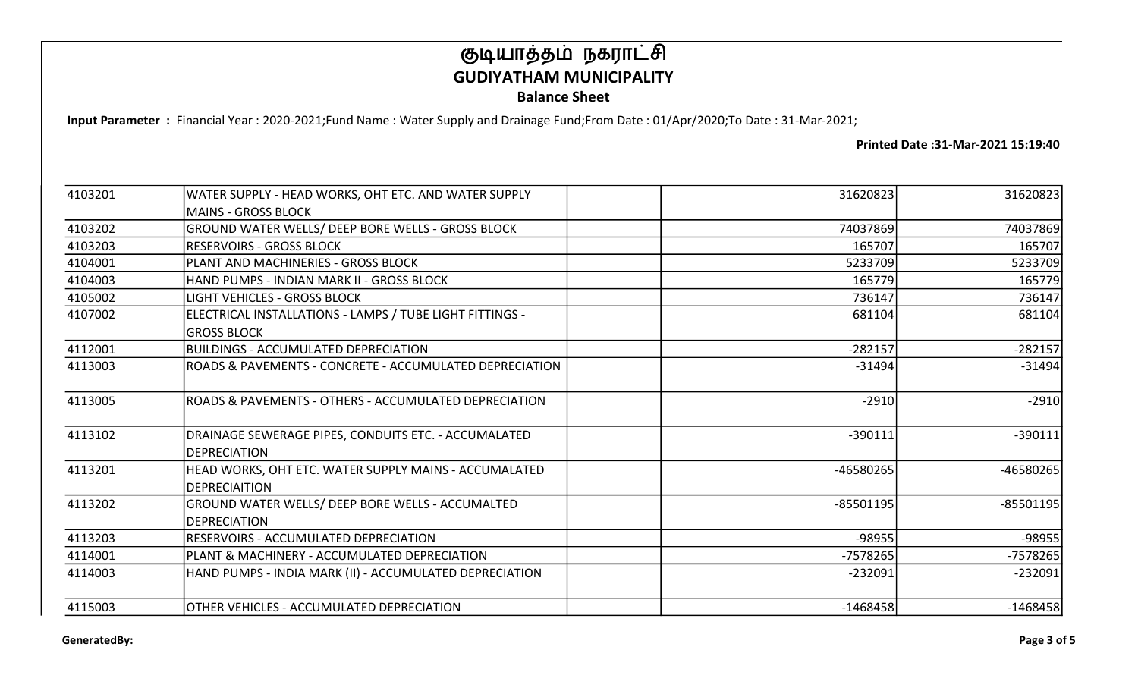Input Parameter : Financial Year : 2020-2021;Fund Name : Water Supply and Drainage Fund;From Date : 01/Apr/2020;To Date : 31-Mar-2021;

| 4103201 | WATER SUPPLY - HEAD WORKS, OHT ETC. AND WATER SUPPLY                                  | 31620823   | 31620823    |
|---------|---------------------------------------------------------------------------------------|------------|-------------|
|         | lMAINS - GROSS BLOCK                                                                  |            |             |
| 4103202 | GROUND WATER WELLS/ DEEP BORE WELLS - GROSS BLOCK                                     | 74037869   | 74037869    |
| 4103203 | RESERVOIRS - GROSS BLOCK                                                              | 165707     | 165707      |
| 4104001 | IPLANT AND MACHINERIES - GROSS BLOCK                                                  | 5233709    | 5233709     |
| 4104003 | HAND PUMPS - INDIAN MARK II - GROSS BLOCK                                             | 165779     | 165779      |
| 4105002 | LIGHT VEHICLES - GROSS BLOCK                                                          | 736147     | 736147      |
| 4107002 | ELECTRICAL INSTALLATIONS - LAMPS / TUBE LIGHT FITTINGS -                              | 681104     | 681104      |
|         | IGROSS BLOCK                                                                          |            |             |
| 4112001 | BUILDINGS - ACCUMULATED DEPRECIATION                                                  | $-282157$  | $-282157$   |
| 4113003 | ROADS & PAVEMENTS - CONCRETE - ACCUMULATED DEPRECIATION                               | $-31494$   | $-31494$    |
| 4113005 | ROADS & PAVEMENTS - OTHERS - ACCUMULATED DEPRECIATION                                 | $-2910$    | $-2910$     |
| 4113102 | DRAINAGE SEWERAGE PIPES, CONDUITS ETC. - ACCUMALATED<br><b>IDEPRECIATION</b>          | $-390111$  | $-390111$   |
| 4113201 | HEAD WORKS, OHT ETC. WATER SUPPLY MAINS - ACCUMALATED<br><i><b>IDEPRECIAITION</b></i> | -46580265  | $-46580265$ |
| 4113202 | GROUND WATER WELLS/ DEEP BORE WELLS - ACCUMALTED<br><b>IDEPRECIATION</b>              | -85501195  | $-85501195$ |
| 4113203 | RESERVOIRS - ACCUMULATED DEPRECIATION                                                 | -98955     | -98955      |
| 4114001 | PLANT & MACHINERY - ACCUMULATED DEPRECIATION                                          | -7578265   | -7578265    |
| 4114003 | HAND PUMPS - INDIA MARK (II) - ACCUMULATED DEPRECIATION                               | $-232091$  | $-232091$   |
| 4115003 | OTHER VEHICLES - ACCUMULATED DEPRECIATION                                             | $-1468458$ | $-1468458$  |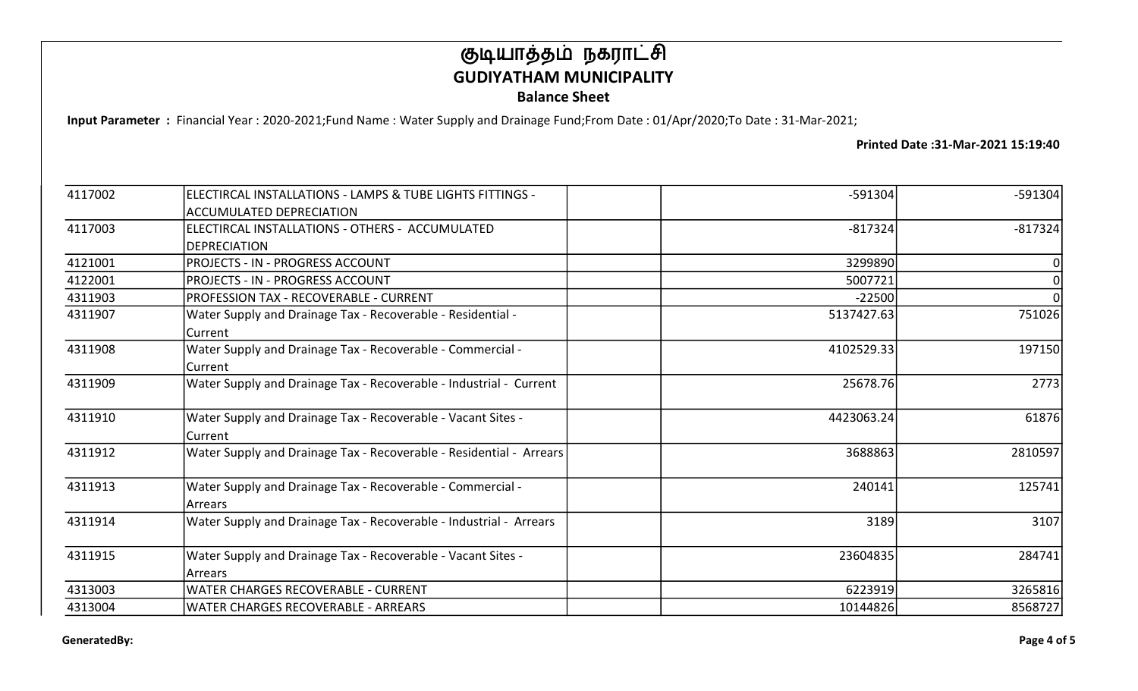Input Parameter : Financial Year : 2020-2021;Fund Name : Water Supply and Drainage Fund;From Date : 01/Apr/2020;To Date : 31-Mar-2021;

| 4117002 | ELECTIRCAL INSTALLATIONS - LAMPS & TUBE LIGHTS FITTINGS -           | $-591304$  | $-591304$ |
|---------|---------------------------------------------------------------------|------------|-----------|
|         | <b>ACCUMULATED DEPRECIATION</b>                                     |            |           |
| 4117003 | ELECTIRCAL INSTALLATIONS - OTHERS - ACCUMULATED                     | $-817324$  | $-817324$ |
|         | <b>DEPRECIATION</b>                                                 |            |           |
| 4121001 | <b>PROJECTS - IN - PROGRESS ACCOUNT</b>                             | 3299890    | 0         |
| 4122001 | <b>PROJECTS - IN - PROGRESS ACCOUNT</b>                             | 5007721    | $\Omega$  |
| 4311903 | PROFESSION TAX - RECOVERABLE - CURRENT                              | $-22500$   | $\Omega$  |
| 4311907 | Water Supply and Drainage Tax - Recoverable - Residential -         | 5137427.63 | 751026    |
|         | Current                                                             |            |           |
| 4311908 | Water Supply and Drainage Tax - Recoverable - Commercial -          | 4102529.33 | 197150    |
|         | Current                                                             |            |           |
| 4311909 | Water Supply and Drainage Tax - Recoverable - Industrial - Current  | 25678.76   | 2773      |
| 4311910 | Water Supply and Drainage Tax - Recoverable - Vacant Sites -        | 4423063.24 | 61876     |
|         | Current                                                             |            |           |
| 4311912 | Water Supply and Drainage Tax - Recoverable - Residential - Arrears | 3688863    | 2810597   |
| 4311913 | Water Supply and Drainage Tax - Recoverable - Commercial -          | 240141     | 125741    |
|         | Arrears                                                             |            |           |
| 4311914 | Water Supply and Drainage Tax - Recoverable - Industrial - Arrears  | 3189       | 3107      |
| 4311915 | Water Supply and Drainage Tax - Recoverable - Vacant Sites -        | 23604835   | 284741    |
|         | Arrears                                                             |            |           |
| 4313003 | <b>WATER CHARGES RECOVERABLE - CURRENT</b>                          | 6223919    | 3265816   |
| 4313004 | <b>WATER CHARGES RECOVERABLE - ARREARS</b>                          | 10144826   | 8568727   |